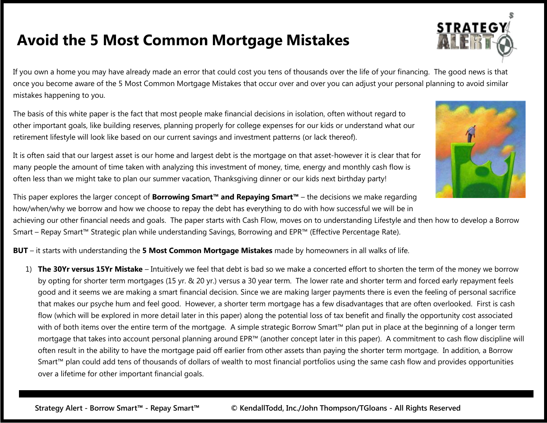If you own a home you may have already made an error that could cost you tens of thousands over the life of your financing. The good news is that once you become aware of the 5 Most Common Mortgage Mistakes that occur over and over you can adjust your personal planning to avoid similar mistakes happening to you.

The basis of this white paper is the fact that most people make financial decisions in isolation, often without regard to other important goals, like building reserves, planning properly for college expenses for our kids or understand what our retirement lifestyle will look like based on our current savings and investment patterns (or lack thereof).

It is often said that our largest asset is our home and largest debt is the mortgage on that asset-however it is clear that for many people the amount of time taken with analyzing this investment of money, time, energy and monthly cash flow is often less than we might take to plan our summer vacation, Thanksgiving dinner or our kids next birthday party!

This paper explores the larger concept of **Borrowing Smart™ and Repaying Smart™** – the decisions we make regarding how/when/why we borrow and how we choose to repay the debt has everything to do with how successful we will be in

achieving our other financial needs and goals. The paper starts with Cash Flow, moves on to understanding Lifestyle and then how to develop a Borrow Smart – Repay Smart™ Strategic plan while understanding Savings, Borrowing and EPR™ (Effective Percentage Rate).

**BUT** – it starts with understanding the **5 Most Common Mortgage Mistakes** made by homeowners in all walks of life.

1) **The 30Yr versus 15Yr Mistake** – Intuitively we feel that debt is bad so we make a concerted effort to shorten the term of the money we borrow by opting for shorter term mortgages (15 yr. & 20 yr.) versus a 30 year term. The lower rate and shorter term and forced early repayment feels good and it seems we are making a smart financial decision. Since we are making larger payments there is even the feeling of personal sacrifice that makes our psyche hum and feel good. However, a shorter term mortgage has a few disadvantages that are often overlooked. First is cash flow (which will be explored in more detail later in this paper) along the potential loss of tax benefit and finally the opportunity cost associated with of both items over the entire term of the mortgage. A simple strategic Borrow Smart™ plan put in place at the beginning of a longer term mortgage that takes into account personal planning around EPR™ (another concept later in this paper). A commitment to cash flow discipline will often result in the ability to have the mortgage paid off earlier from other assets than paying the shorter term mortgage. In addition, a Borrow Smart<sup>™</sup> plan could add tens of thousands of dollars of wealth to most financial portfolios using the same cash flow and provides opportunities over a lifetime for other important financial goals.



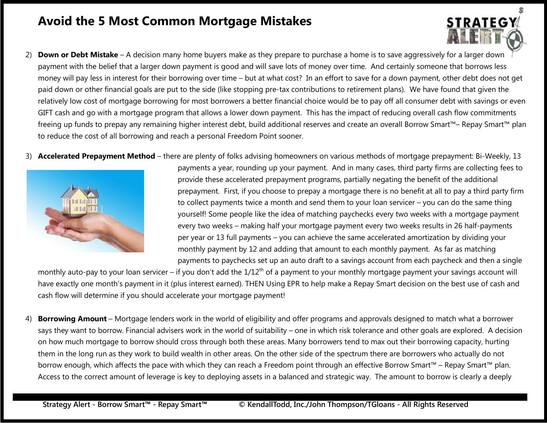- 2) **Down or Debt Mistake** A decision many home buyers make as they prepare to purchase a home is to save aggressively for a larger down payment with the belief that a larger down payment is good and will save lots of money over time. And certainly someone that borrows less money will pay less in interest for their borrowing over time – but at what cost? In an effort to save for a down payment, other debt does not get paid down or other financial goals are put to the side (like stopping pre-tax contributions to retirement plans). We have found that given the relatively low cost of mortgage borrowing for most borrowers a better financial choice would be to pay off all consumer debt with savings or even GIFT cash and go with a mortgage program that allows a lower down payment. This has the impact of reducing overall cash flow commitments freeing up funds to prepay any remaining higher interest debt, build additional reserves and create an overall Borrow Smart™– Repay Smart™ plan to reduce the cost of all borrowing and reach a personal Freedom Point sooner.
- 3) **Accelerated Prepayment Method** there are plenty of folks advising homeowners on various methods of mortgage prepayment: Bi-Weekly, 13



payments a year, rounding up your payment. And in many cases, third party firms are collecting fees to provide these accelerated prepayment programs, partially negating the benefit of the additional prepayment. First, if you choose to prepay a mortgage there is no benefit at all to pay a third party firm to collect payments twice a month and send them to your loan servicer – you can do the same thing yourself! Some people like the idea of matching paychecks every two weeks with a mortgage payment every two weeks – making half your mortgage payment every two weeks results in 26 half-payments per year or 13 full payments – you can achieve the same accelerated amortization by dividing your monthly payment by 12 and adding that amount to each monthly payment. As far as matching payments to paychecks set up an auto draft to a savings account from each paycheck and then a single

**STRATEG** 

monthly auto-pay to your loan servicer – if you don't add the 1/12<sup>th</sup> of a payment to your monthly mortgage payment your savings account will have exactly one month's payment in it (plus interest earned). THEN Using EPR to help make a Repay Smart decision on the best use of cash and cash flow will determine if you should accelerate your mortgage payment!

4) **Borrowing Amount** – Mortgage lenders work in the world of eligibility and offer programs and approvals designed to match what a borrower says they want to borrow. Financial advisers work in the world of suitability – one in which risk tolerance and other goals are explored. A decision on how much mortgage to borrow should cross through both these areas. Many borrowers tend to max out their borrowing capacity, hurting them in the long run as they work to build wealth in other areas. On the other side of the spectrum there are borrowers who actually do not borrow enough, which affects the pace with which they can reach a Freedom point through an effective Borrow Smart™ – Repay Smart™ plan. Access to the correct amount of leverage is key to deploying assets in a balanced and strategic way. The amount to borrow is clearly a deeply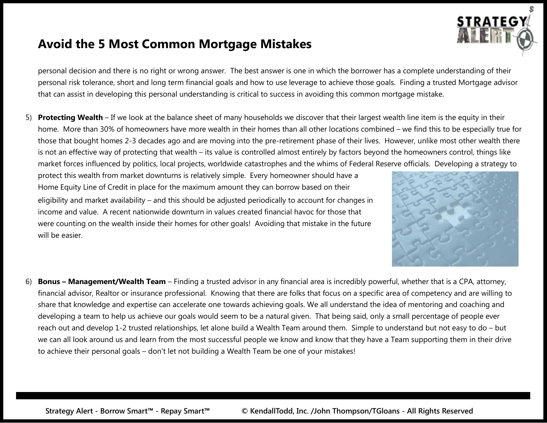personal decision and there is no right or wrong answer. The best answer is one in which the borrower has a complete understanding of their personal risk tolerance, short and long term financial goals and how to use leverage to achieve those goals. Finding a trusted Mortgage advisor that can assist in developing this personal understanding is critical to success in avoiding this common mortgage mistake.

5) **Protecting Wealth** –If we look at the balance sheet of many households we discover that their largest wealth line item is the equity in their home. More than 30% of homeowners have more wealth in their homes than all other locations combined – we find this to be especially true for those that bought homes 2-3 decades ago and are moving into the pre-retirement phase of their lives. However, unlike most other wealth there is not an effective way of protecting that wealth – its value is controlled almost entirely by factors beyond the homeowners control, things like market forces influenced by politics, local projects, worldwide catastrophes and the whims of Federal Reserve officials. Developing a strategy to

protect this wealth from market downturns is relatively simple. Every homeowner should have a Home Equity Line of Credit in place for the maximum amount they can borrow based on their eligibility and market availability – and this should be adjusted periodically to account for changes in income and value. A recent nationwide downturn in values created financial havoc for those that were counting on the wealth inside their homes for other goals! Avoiding that mistake in the future will be easier.



**STRATEGY** 

6) **Bonus – Management/Wealth Team** – Finding a trusted advisor in any financial area is incredibly powerful, whether that is a CPA, attorney, financial advisor, Realtor or insurance professional. Knowing that there are folks that focus on a specific area of competency and are willing to share that knowledge and expertise can accelerate one towards achieving goals. We all understand the idea of mentoring and coaching and developing a team to help us achieve our goals would seem to be a natural given. That being said, only a small percentage of people ever reach out and develop 1-2 trusted relationships, let alone build a Wealth Team around them. Simple to understand but not easy to do – but we can all look around us and learn from the most successful people we know and know that they have a Team supporting them in their drive to achieve their personal goals – don't let not building a Wealth Team be one of your mistakes!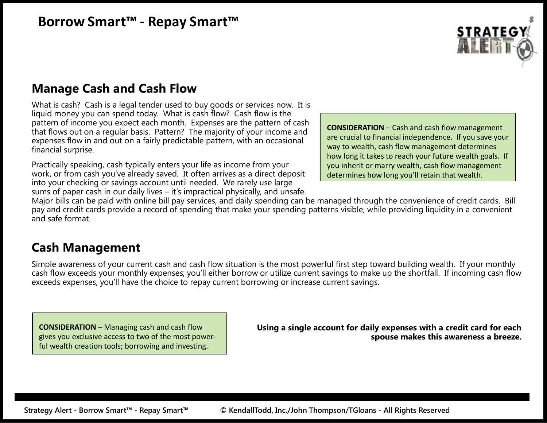# **STRATEGY**

# **Manage Cash and Cash Flow**

What is cash? Cash is a legal tender used to buy goods or services now. It is liquid money you can spend today. What is cash flow? Cash flow is the pattern of income you expect each month. Expenses are the pattern of cash that flows out on a regular basis. Pattern? The majority of your income and expenses flow in and out on a fairly predictable pattern, with an occasional financial surprise.

Practically speaking, cash typically enters your life as income from your work, or from cash you've already saved. It often arrives as a direct deposit into your checking or savings account until needed. We rarely use large sums of paper cash in our daily lives – it's impractical physically, and unsafe.

**CONSIDERATION** – Cash and cash flow management are crucial to financial independence. If you save your way to wealth, cash flow management determines how long it takes to reach your future wealth goals. If you inherit or marry wealth, cash flow management determines how long you'll retain that wealth.

Major bills can be paid with online bill pay services, and daily spending can be managed through the convenience of credit cards. Bill pay and credit cards provide a record of spending that make your spending patterns visible, while providing liquidity in a convenient and safe format.

## **Cash Management**

Simple awareness of your current cash and cash flow situation is the most powerful first step toward building wealth. If your monthly cash flow exceeds your monthly expenses; you'll either borrow or utilize current savings to make up the shortfall. If incoming cash flow exceeds expenses, you'll have the choice to repay current borrowing or increase current savings.

**CONSIDERATION** – Managing cash and cash flow gives you exclusive access to two of the most power-

ful wealth creation tools; borrowing and investing. **Using <sup>a</sup> single account for daily expenses with a credit card for each spouse makes this awareness a breeze.**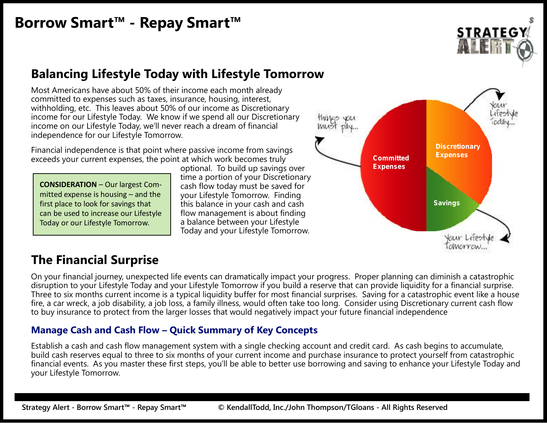

## **Balancing Lifestyle Today with Lifestyle Tomorrow**

Most Americans have about 50% of their income each month already committed to expenses such as taxes, insurance, housing, interest, withholding, etc. This leaves about 50% of our income as Discretionary income for our Lifestyle Today. We know if we spend all our Discretionary income on our Lifestyle Today, we'll never reach a dream of financial independence for our Lifestyle Tomorrow.

Financial independence is that point where passive income from savings exceeds your current expenses, the point at which work becomes truly

**CONSIDERATION** – Our largest Com mitted expense is housing  $-$  and the first place to look for savings that can be used to increase our Lifestyle Today or our Lifestyle Tomorrow.

optional. To build up savings over time a portion of your Discretionary cash flow today must be saved for your Lifestyle Tomorrow. Finding this balance in your cash and cash flow management is about finding a balance between your Lifestyle Today and your Lifestyle Tomorrow.



## **The Financial Surprise**

On your financial journey, unexpected life events can dramatically impact your progress. Proper planning can diminish a catastrophic disruption to your Lifestyle Today and your Lifestyle Tomorrow if you build a reserve that can provide liquidity for a financial surprise. Three to six months current income is a typical liquidity buffer for most financial surprises. Saving for a catastrophic event like a house fire, a car wreck, a job disability, a job loss, a family illness, would often take too long. Consider using Discretionary current cash flow to buy insurance to protect from the larger losses that would negatively impact your future financial independence

#### **Manage Cash and Cash Flow – Quick Summary of Key Concepts**

Establish a cash and cash flow management system with a single checking account and credit card. As cash begins to accumulate, build cash reserves equal to three to six months of your current income and purchase insurance to protect yourself from catastrophic financial events. As you master these first steps, you'll be able to better use borrowing and saving to enhance your Lifestyle Today and your Lifestyle Tomorrow.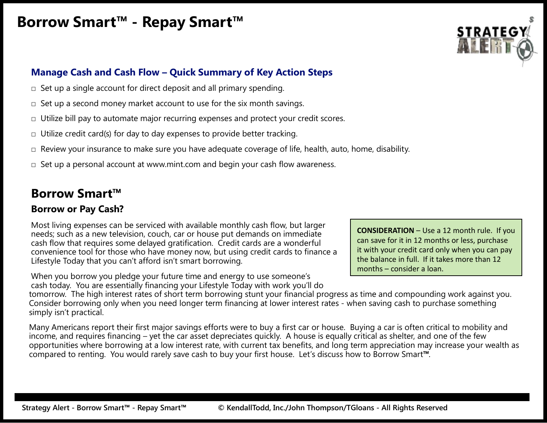

#### **Manage Cash and Cash Flow – Quick Summary of Key Action Steps**

- $\Box$  Set up a single account for direct deposit and all primary spending.
- $\Box$  Set up a second money market account to use for the six month savings.
- $\Box$  Utilize bill pay to automate major recurring expenses and protect your credit scores.
- $\Box$  Utilize credit card(s) for day to day expenses to provide better tracking.
- □ Review your insurance to make sure you have adequate coverage of life, health, auto, home, disability.
- $\Box$  Set up a personal account at www.mint.com and begin your cash flow awareness.

## **Borrow Smart™**

#### **Borrow or Pay Cash?**

Most living expenses can be serviced with available monthly cash flow, but larger needs; such as a new television, couch, car or house put demands on immediate cash flow that requires some delayed gratification. Credit cards are a wonderful convenience tool for those who have money now, but using credit cards to finance a Lifestyle Today that you can't afford isn't smart borrowing.

When you borrow you pledge your future time and energy to use someone's cash today. You are essentially financing your Lifestyle Today with work you'll do **CONSIDERATION** – Use a 12 month rule. If you can save for it in 12 months or less, purchase it with your credit card only when you can pay the balance in full. If it takes more than 12 months – consider a loan.

tomorrow. The high interest rates of short term borrowing stunt your financial progress as time and compounding work against you. Consider borrowing only when you need longer term financing at lower interest rates - when saving cash to purchase something simply isn't practical.

Many Americans report their first major savings efforts were to buy a first car or house. Buying a car is often critical to mobility and income, and requires financing – yet the car asset depreciates quickly. A house is equally critical as shelter, and one of the few opportunities where borrowing at a low interest rate, with current tax benefits, and long term appreciation may increase your wealth as compared to renting. You would rarely save cash to buy your first house. Let's discuss how to Borrow Smart**™**.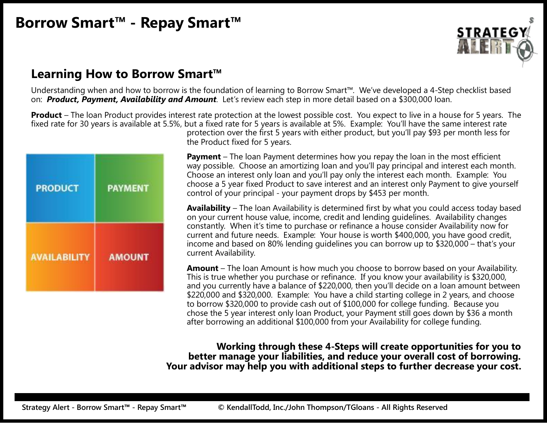

## **Learning How to Borrow Smart™**

Understanding when and how to borrow is the foundation of learning to Borrow Smart™. We've developed a 4-Step checklist based on: *Product, Payment, Availability and Amount*. Let's review each step in more detail based on a \$300,000 loan.

**Product** – The loan Product provides interest rate protection at the lowest possible cost. You expect to live in a house for 5 years. The fixed rate for 30 years is available at 5.5%, but a fixed rate for 5 years is available at 5%. Example: You'll have the same interest rate protection over the first 5 years with either product, but you'll pay \$93 per month less for

| <b>PRODUCT</b>      | <b>PAYMENT</b> |
|---------------------|----------------|
| <b>AVAILABILITY</b> | <b>AMOUNT</b>  |

the Product fixed for 5 years.

**Payment** – The loan Payment determines how you repay the loan in the most efficient way possible. Choose an amortizing loan and you'll pay principal and interest each month. Choose an interest only loan and you'll pay only the interest each month. Example: You choose a 5 year fixed Product to save interest and an interest only Payment to give yourself control of your principal - your payment drops by \$453 per month.

**Availability** – The loan Availability is determined first by what you could access today based on your current house value, income, credit and lending guidelines. Availability changes constantly. When it's time to purchase or refinance a house consider Availability now for current and future needs. Example: Your house is worth \$400,000, you have good credit, income and based on 80% lending guidelines you can borrow up to \$320,000 – that's your current Availability.

**Amount** – The loan Amount is how much you choose to borrow based on your Availability. This is true whether you purchase or refinance. If you know your availability is \$320,000, and you currently have a balance of \$220,000, then you'll decide on a loan amount between \$220,000 and \$320,000. Example: You have a child starting college in 2 years, and choose to borrow \$320,000 to provide cash out of \$100,000 for college funding. Because you chose the 5 year interest only loan Product, your Payment still goes down by \$36 a month after borrowing an additional \$100,000 from your Availability for college funding.

**Working through these 4-Steps will create opportunities for you to better manage your liabilities, and reduce your overall cost of borrowing. Your advisor may help you with additional steps to further decrease your cost.**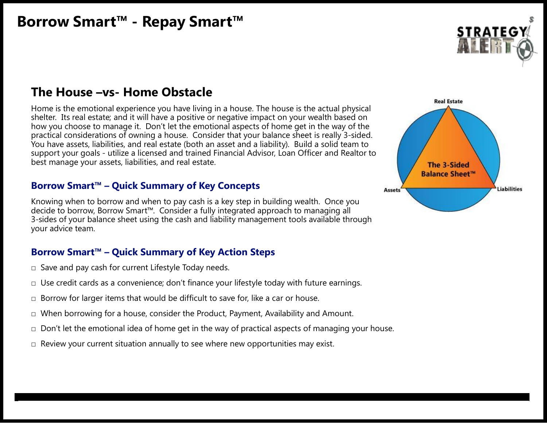

#### **The House –vs- Home Obstacle**

Home is the emotional experience you have living in a house. The house is the actual physical shelter. Its real estate; and it will have a positive or negative impact on your wealth based on how you choose to manage it. Don't let the emotional aspects of home get in the way of the practical considerations of owning a house. Consider that your balance sheet is really 3-sided. You have assets, liabilities, and real estate (both an asset and a liability). Build a solid team to support your goals - utilize a licensed and trained Financial Advisor, Loan Officer and Realtor to best manage your assets, liabilities, and real estate.

#### **Borrow Smart™ – Quick Summary of Key Concepts**

Knowing when to borrow and when to pay cash is a key step in building wealth. Once you decide to borrow, Borrow Smart™. Consider a fully integrated approach to managing all 3-sides of your balance sheet using the cash and liability management tools available through your advice team.

#### **Borrow Smart™ – Quick Summary of Key Action Steps**

- $\square$  Save and pay cash for current Lifestyle Today needs.
- $\square$  Use credit cards as a convenience; don't finance your lifestyle today with future earnings.
- $\Box$  Borrow for larger items that would be difficult to save for, like a car or house.
- □ When borrowing for a house, consider the Product, Payment, Availability and Amount.
- $\Box$  Don't let the emotional idea of home get in the way of practical aspects of managing your house.

**StrSatrteatgeygAy Al leretr-t -BoBor rrorowwSSmmaarrtt™™ -- RReeppay S ay Smmaartr™t™ Copyright KendallTodd, Inc./JohCopyri n ThompghtsoKne/TGndaloallTnosd-dAll , Inc. Rig-htsAllRReseigrhvteds Reserved**

 $\Box$  Review your current situation annually to see where new opportunities may exist.

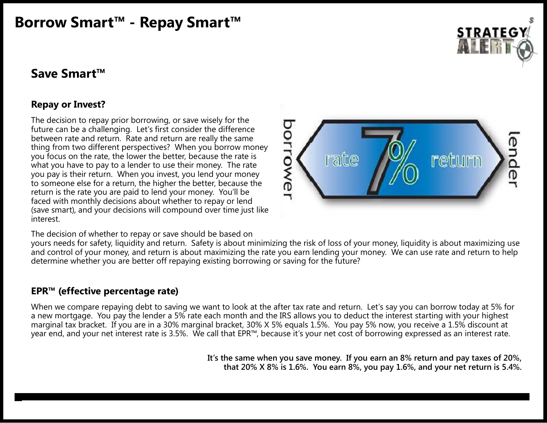

#### **Save Smart™**

#### **Repay or Invest?**

The decision to repay prior borrowing, or save wisely for the<br>future can be a challenging. Let's first consider the difference<br>between rate and return. Rate and return are really the same<br>thing from two different perspecti future can be a challenging. Let's first consider the difference between rate and return. Rate and return are really the same thing from two different perspectives? When you borrow money you focus on the rate, the lower the better, because the rate is what you have to pay to a lender to use their money. The rate you pay is their return. When you invest, you lend your money to someone else for a return, the higher the better, because the return is the rate you are paid to lend your money. You'll be faced with monthly decisions about whether to repay or lend (save smart), and your decisions will compound over time just like interest.



The decision of whether to repay or save should be based on

yours needs for safety, liquidity and return. Safety is about minimizing the risk of loss of your money, liquidity is about maximizing use and control of your money, and return is about maximizing the rate you earn lending your money. We can use rate and return to help determine whether you are better off repaying existing borrowing or saving for the future?

#### **EPR™ (effective percentage rate)**

When we compare repaying debt to saving we want to look at the after tax rate and return. Let's say you can borrow today at 5% for a new mortgage. You pay the lender a 5% rate each month and the IRS allows you to deduct the interest starting with your highest marginal tax bracket. If you are in a 30% marginal bracket, 30% X 5% equals 1.5%. You pay 5% now, you receive a 1.5% discount at year end, and your net interest rate is 3.5%. We call that EPR™, because it's your net cost of borrowing expressed as an interest rate.

**StraStetrgatyeAgy Al lerte-rtB-oBrrororwowSmSmaratr™t™--RReeppayay SSma marrtt™™ Copyright KendallTodd, Inc./JoCopyri hn ThogmphtsoKne/TGndaloallTonsd-d,AllInc. Rig-hAll ts RReiseghrvtsedReserved**

**It's the same when you save money. If you earn an 8% return and pay taxes of 20%, that 20% X 8% is 1.6%. You earn 8%, you pay 1.6%, and your net return is 5.4%.**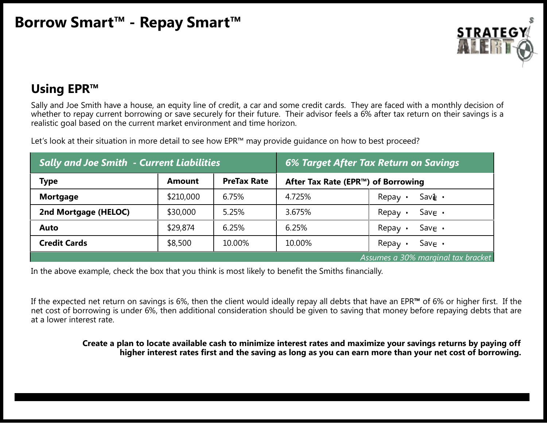

## **Using EPR™**

Sally and Joe Smith have a house, an equity line of credit, a car and some credit cards. They are faced with a monthly decision of whether to repay current borrowing or save securely for their future. Their advisor feels a 6% after tax return on their savings is a realistic goal based on the current market environment and time horizon.

Let's look at their situation in more detail to see how EPR™ may provide quidance on how to best proceed?

| <b>Sally and Joe Smith - Current Liabilities</b> |           | 6% Target After Tax Return on Savings |                                    |                                    |
|--------------------------------------------------|-----------|---------------------------------------|------------------------------------|------------------------------------|
| <b>Type</b>                                      | Amount    | <b>PreTax Rate</b>                    | After Tax Rate (EPR™) of Borrowing |                                    |
| <b>Mortgage</b>                                  | \$210,000 | 6.75%                                 | 4.725%                             | $Sav\mathbf{a} \cdot$<br>Repay     |
| 2nd Mortgage (HELOC)                             | \$30,000  | 5.25%                                 | 3.675%                             | Save $\cdot$<br>Repay $\cdot$      |
| <b>Auto</b>                                      | \$29,874  | 6.25%                                 | 6.25%                              | Save $\cdot$<br>Repay              |
| <b>Credit Cards</b>                              | \$8,500   | 10.00%                                | 10.00%                             | Save $\cdot$<br>Repay              |
|                                                  |           |                                       |                                    | Assumes a 30% marginal tax bracket |

In the above example, check the box that you think is most likely to benefit the Smiths financially.

If the expected net return on savings is 6%, then the client would ideally repay all debts that have an EPR**™** of 6% or higher first. If the net cost of borrowing is under 6%, then additional consideration should be given to saving that money before repaying debts that are at a lower interest rate.

#### Create a plan to locate available cash to minimize interest rates and maximize your savings returns by paying off **higher interest rates first and the saving aslong as you can earn more than your net cost of borrowing.**

**StraStetrgatyeAgy Al lerte-rtB-oBrrororwowSmSmaratr™t™--RReeppayay SSma marrtt™™ Copyright KendallTodd, Inc./JoCopyri hn ThogmphtsoKne/TGndaloallTonsd-d,AllInc. Rig-hAll ts RReiseghrvtsedReserved**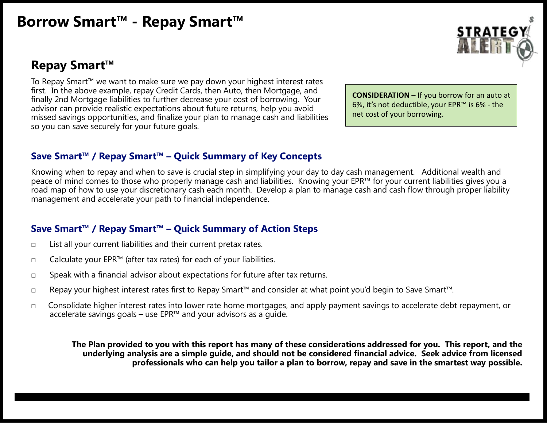## **Repay Smart™**

To Repay Smart™ we want to make sure we pay down your highest interest rates first. In the above example, repay Credit Cards, then Auto, then Mortgage, and finally 2nd Mortgage liabilities to further decrease your cost of borrowing. Your advisor can provide realistic expectations about future returns, help you avoid missed savings opportunities, and finalize your plan to manage cash and liabilities so you can save securely for your future goals.

**CONSIDERATION** – If you borrow for an auto at 6%, it's not deductible, your EPR™ is 6% - the net cost of your borrowing.

#### **Save Smart™ / Repay Smart™ – Quick Summary of Key Concepts**

Knowing when to repay and when to save is crucial step in simplifying your day to day cash management. Additional wealth and peace of mind comes to those who properly manage cash and liabilities. Knowing your EPR™ for your current liabilities gives you a road map of how to use your discretionary cash each month. Develop a plan to manage cash and cash flow through proper liability management and accelerate your path to financial independence.

#### **Save Smart™ / Repay Smart™ – Quick Summary of Action Steps**

- $\Box$  List all your current liabilities and their current pretax rates.
- □ Calculate your EPR<sup>™</sup> (after tax rates) for each of your liabilities.
- □ Speak with a financial advisor about expectations for future after tax returns.
- □ Repay your highest interest rates first to Repay Smart™ and consider at what point you'd begin to Save Smart™.
- □ Consolidate higher interest rates into lower rate home mortgages, and apply payment savings to accelerate debt repayment, or accelerate savings goals – use EPR™ and your advisors as a guide.

The Plan provided to you with this report has many of these considerations addressed for you. This report, and the **underlying analysis are a simple guide, and should not be considered financial advice. Seek advice from licensed professionals who can help you tailor a plan to borrow, repay and save in the smartest way possible.**

**StrSatrteatgeygAy Al leretr-t -BoBor rrorowwSSmmaarrtt™™ -- RReeppay S ay Smmaartr™t™ Copyright KendallTodd, Inc./JohCopyri n ThompghtsoKne/TGndaloallTnosd-dAll , Inc. Rig-htsAllRReseigrhvteds Reserved**